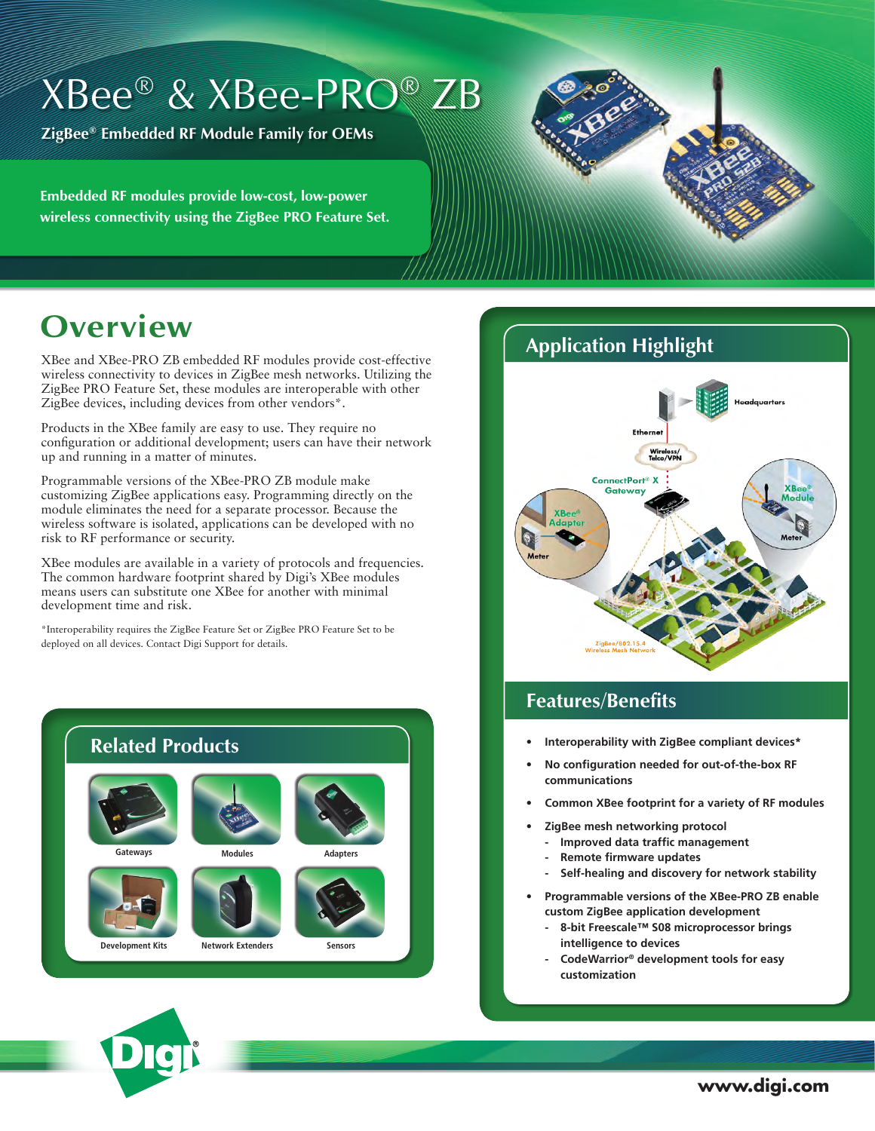## XBee® & XBee-PRO® ZB

**ZigBee® Embedded RF Module Family for OEMs**

**Embedded RF modules provide low-cost, low-power wireless connectivity using the ZigBee PRO Feature Set.**

### **Overview**

XBee and XBee-PRO ZB embedded RF modules provide cost-effective wireless connectivity to devices in ZigBee mesh networks. Utilizing the ZigBee PRO Feature Set, these modules are interoperable with other ZigBee devices, including devices from other vendors\*.

Products in the XBee family are easy to use. They require no configuration or additional development; users can have their network up and running in a matter of minutes.

Programmable versions of the XBee-PRO ZB module make customizing ZigBee applications easy. Programming directly on the module eliminates the need for a separate processor. Because the wireless software is isolated, applications can be developed with no risk to RF performance or security.

XBee modules are available in a variety of protocols and frequencies. The common hardware footprint shared by Digi's XBee modules means users can substitute one XBee for another with minimal development time and risk.

\*Interoperability requires the ZigBee Feature Set or ZigBee PRO Feature Set to be deployed on all devices. Contact Digi Support for details.

# **Related Products Gateways Development Kits Network Extenders Modules Adapters**

#### **Application Highlight**



#### **Features/Benefits**

- **• Interoperability with ZigBee compliant devices\***
- **• No configuration needed for out-of-the-box RF communications**
- **• Common XBee footprint for a variety of RF modules**
- **• ZigBee mesh networking protocol** 
	- **- Improved data traffic management** 
		- **Remote firmware updates**
		- **- Self-healing and discovery for network stability**
- **• Programmable versions of the XBee-PRO ZB enable custom ZigBee application development** 
	- **- 8-bit Freescale™ S08 microprocessor brings intelligence** to devices
	- **- CodeWarrior® development tools for easy customization**